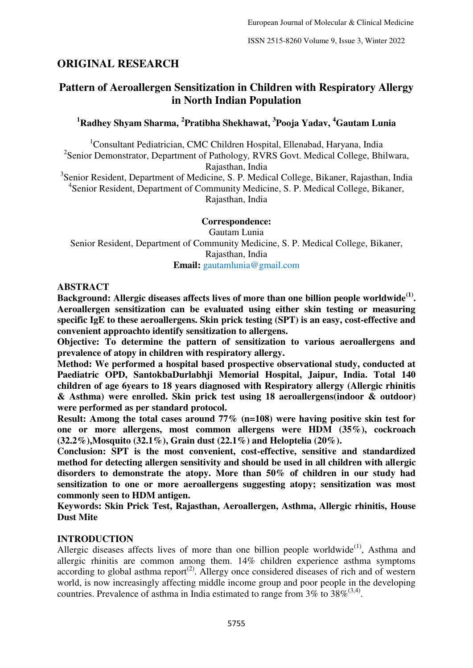# **ORIGINAL RESEARCH**

# **Pattern of Aeroallergen Sensitization in Children with Respiratory Allergy in North Indian Population**

## **<sup>1</sup>Radhey Shyam Sharma, <sup>2</sup> Pratibha Shekhawat, <sup>3</sup> Pooja Yadav, <sup>4</sup>Gautam Lunia**

<sup>1</sup>Consultant Pediatrician, CMC Children Hospital, Ellenabad, Haryana, India 2 Senior Demonstrator, Department of Pathology*,* RVRS Govt. Medical College, Bhilwara, Rajasthan, India

<sup>3</sup>Senior Resident, Department of Medicine, S. P. Medical College, Bikaner, Rajasthan, India <sup>4</sup>Senior Resident, Department of Community Medicine, S. P. Medical College, Bikaner, Rajasthan, India

**Correspondence:**  Gautam Lunia Senior Resident, Department of Community Medicine, S. P. Medical College, Bikaner, Rajasthan, India **Email:** gautamlunia@gmail.com

#### **ABSTRACT**

Background: Allergic diseases affects lives of more than one billion people worldwide<sup>(1)</sup>. **Aeroallergen sensitization can be evaluated using either skin testing or measuring specific IgE to these aeroallergens. Skin prick testing (SPT) is an easy, cost-effective and convenient approachto identify sensitization to allergens.** 

**Objective: To determine the pattern of sensitization to various aeroallergens and prevalence of atopy in children with respiratory allergy.** 

**Method: We performed a hospital based prospective observational study, conducted at Paediatric OPD, SantokbaDurlabhji Memorial Hospital, Jaipur, India. Total 140 children of age 6years to 18 years diagnosed with Respiratory allergy (Allergic rhinitis & Asthma) were enrolled. Skin prick test using 18 aeroallergens(indoor & outdoor) were performed as per standard protocol.** 

**Result: Among the total cases around 77% (n=108) were having positive skin test for one or more allergens, most common allergens were HDM (35%), cockroach (32.2%),Mosquito (32.1%), Grain dust (22.1%) and Heloptelia (20%).** 

**Conclusion: SPT is the most convenient, cost-effective, sensitive and standardized method for detecting allergen sensitivity and should be used in all children with allergic disorders to demonstrate the atopy. More than 50% of children in our study had sensitization to one or more aeroallergens suggesting atopy; sensitization was most commonly seen to HDM antigen.** 

**Keywords: Skin Prick Test, Rajasthan, Aeroallergen, Asthma, Allergic rhinitis, House Dust Mite** 

### **INTRODUCTION**

Allergic diseases affects lives of more than one billion people worldwide<sup> $(1)$ </sup>, Asthma and allergic rhinitis are common among them. 14% children experience asthma symptoms  $\frac{1}{2}$  according to global asthma report<sup>(2)</sup>. Allergy once considered diseases of rich and of western world, is now increasingly affecting middle income group and poor people in the developing countries. Prevalence of asthma in India estimated to range from  $3\%$  to  $38\%^{(3,4)}$ .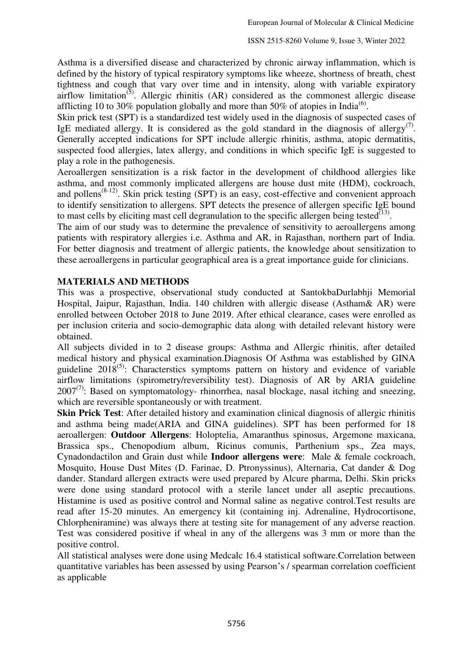Asthma is a diversified disease and characterized by chronic airway inflammation, which is defined by the history of typical respiratory symptoms like wheeze, shortness of breath, chest tightness and cough that vary over time and in intensity, along with variable expiratory airflow limitation<sup> $(5)$ </sup>. Allergic rhinitis  $(AR)$  considered as the commonest allergic disease afflicting 10 to 30% population globally and more than 50% of atopies in India<sup>(6)</sup>.

Skin prick test (SPT) is a standardized test widely used in the diagnosis of suspected cases of IgE mediated allergy. It is considered as the gold standard in the diagnosis of allergy<sup>(7)</sup>. Generally accepted indications for SPT include allergic rhinitis, asthma, atopic dermatitis, suspected food allergies, latex allergy, and conditions in which specific IgE is suggested to play a role in the pathogenesis.

Aeroallergen sensitization is a risk factor in the development of childhood allergies like asthma, and most commonly implicated allergens are house dust mite (HDM), cockroach, and pollens<sup>(8-12)</sup>. Skin prick testing (SPT) is an easy, cost-effective and convenient approach to identify sensitization to allergens. SPT detects the presence of allergen specific IgE bound to mast cells by eliciting mast cell degranulation to the specific allergen being tested $^{\text{(13)}}$ .

The aim of our study was to determine the prevalence of sensitivity to aeroallergens among patients with respiratory allergies i.e. Asthma and AR, in Rajasthan, northern part of India. For better diagnosis and treatment of allergic patients, the knowledge about sensitization to these aeroallergens in particular geographical area is a great importance guide for clinicians.

### **MATERIALS AND METHODS**

This was a prospective, observational study conducted at SantokbaDurlabhji Memorial Hospital, Jaipur, Rajasthan, India. 140 children with allergic disease (Astham& AR) were enrolled between October 2018 to June 2019. After ethical clearance, cases were enrolled as per inclusion criteria and socio-demographic data along with detailed relevant history were obtained.

All subjects divided in to 2 disease groups: Asthma and Allergic rhinitis, after detailed medical history and physical examination.Diagnosis Of Asthma was established by GINA guideline  $2018^{(5)}$ : Characterstics symptoms pattern on history and evidence of variable airflow limitations (spirometry/reversibility test). Diagnosis of AR by ARIA guideline  $2007^{(7)}$ : Based on symptomatology- rhinorrhea, nasal blockage, nasal itching and sneezing, which are reversible spontaneously or with treatment.

**Skin Prick Test**: After detailed history and examination clinical diagnosis of allergic rhinitis and asthma being made(ARIA and GINA guidelines). SPT has been performed for 18 aeroallergen: **Outdoor Allergens**: Holoptelia, Amaranthus spinosus, Argemone maxicana, Brassica sps., Chenopodium album, Ricinus comunis, Parthenium sps., Zea mays, Cynadondactilon and Grain dust while **Indoor allergens were**: Male & female cockroach, Mosquito, House Dust Mites (D. Farinae, D. Ptronyssinus), Alternaria, Cat dander & Dog dander. Standard allergen extracts were used prepared by Alcure pharma, Delhi. Skin pricks were done using standard protocol with a sterile lancet under all aseptic precautions. Histamine is used as positive control and Normal saline as negative control.Test results are read after 15-20 minutes. An emergency kit (containing inj. Adrenaline, Hydrocortisone, Chlorpheniramine) was always there at testing site for management of any adverse reaction. Test was considered positive if wheal in any of the allergens was 3 mm or more than the positive control.

All statistical analyses were done using Medcalc 16.4 statistical software.Correlation between quantitative variables has been assessed by using Pearson's / spearman correlation coefficient as applicable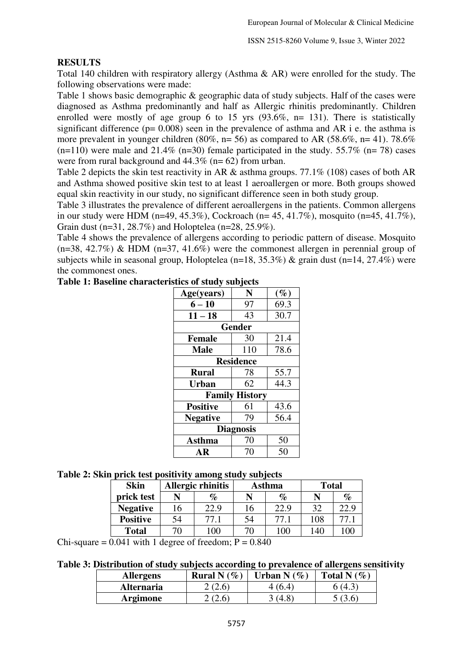#### **RESULTS**

Total 140 children with respiratory allergy (Asthma & AR) were enrolled for the study. The following observations were made:

Table 1 shows basic demographic & geographic data of study subjects. Half of the cases were diagnosed as Asthma predominantly and half as Allergic rhinitis predominantly. Children enrolled were mostly of age group 6 to 15 yrs  $(93.6\%, n= 131)$ . There is statistically significant difference ( $p= 0.008$ ) seen in the prevalence of asthma and AR i e. the asthma is more prevalent in younger children (80%, n= 56) as compared to AR (58.6%, n= 41). 78.6%  $(n=110)$  were male and 21.4%  $(n=30)$  female participated in the study. 55.7%  $(n=78)$  cases were from rural background and 44.3% (n= 62) from urban.

Table 2 depicts the skin test reactivity in AR & asthma groups. 77.1% (108) cases of both AR and Asthma showed positive skin test to at least 1 aeroallergen or more. Both groups showed equal skin reactivity in our study, no significant difference seen in both study group.

Table 3 illustrates the prevalence of different aeroallergens in the patients. Common allergens in our study were HDM (n=49, 45.3%), Cockroach (n= 45, 41.7%), mosquito (n=45, 41.7%), Grain dust (n=31, 28.7%) and Holoptelea (n=28, 25.9%).

Table 4 shows the prevalence of allergens according to periodic pattern of disease. Mosquito  $(n=38, 42.7%)$  & HDM  $(n=37, 41.6%)$  were the commonest allergen in perennial group of subjects while in seasonal group, Holoptelea ( $n=18$ ,  $35.3\%$ ) & grain dust ( $n=14$ ,  $27.4\%$ ) were the commonest ones.

| Age(years)            | N             | $(\%)$ |  |
|-----------------------|---------------|--------|--|
| $6 - 10$              | 97            | 69.3   |  |
| $11 - 18$             | 43            | 30.7   |  |
|                       | <b>Gender</b> |        |  |
| <b>Female</b>         | 30            | 21.4   |  |
| <b>Male</b>           | 110           | 78.6   |  |
| <b>Residence</b>      |               |        |  |
| <b>Rural</b>          | 78            | 55.7   |  |
| <b>Urban</b>          | 62            | 44.3   |  |
| <b>Family History</b> |               |        |  |
| <b>Positive</b>       | 61            | 43.6   |  |
| <b>Negative</b>       | 79            | 56.4   |  |
| <b>Diagnosis</b>      |               |        |  |
| <b>Asthma</b>         | 70            | 50     |  |
| AR                    | 70            | 50     |  |

#### **Table 1: Baseline characteristics of study subjects**

#### **Table 2: Skin prick test positivity among study subjects**

| <b>Skin</b>     |    | Allergic rhinitis |    | Asthma | <b>Total</b> |      |
|-----------------|----|-------------------|----|--------|--------------|------|
| prick test      |    | %                 |    | $\%$   |              | $\%$ |
| <b>Negative</b> | 16 | 22.9              | 16 | 22.9   | 32           | 22.9 |
| <b>Positive</b> | 54 | 77.1              | 54 | 77.1   | 108          | 77.1 |
| <b>Total</b>    | 70 | 100               | 70 | 100    | 140          | 100  |

Chi-square  $= 0.041$  with 1 degree of freedom;  $P = 0.840$ 

| Table 3: Distribution of study subjects according to prevalence of allergens sensitivity |  |  |
|------------------------------------------------------------------------------------------|--|--|
|                                                                                          |  |  |

| <b>Allergens</b>  | <b>Rural N</b> $(\%$ | Urban N (%) | Total N $(\%)$ |
|-------------------|----------------------|-------------|----------------|
| <b>Alternaria</b> | 2(2.6)               | (64)        | 6 (4.3)        |
| <b>Argimone</b>   | 2 (2.6)              | (4.8)       | 5(36)          |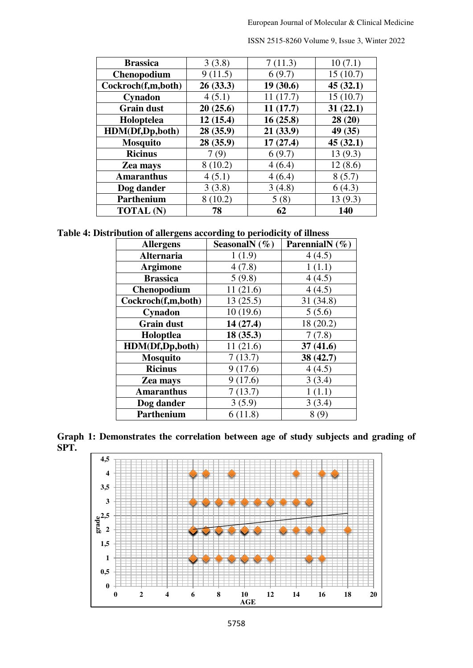| <b>Brassica</b>    | 3(3.8)   | 7(11.3)  | 10(7.1)  |
|--------------------|----------|----------|----------|
| <b>Chenopodium</b> | 9(11.5)  | 6(9.7)   | 15(10.7) |
| Cockroch(f,m,both) | 26(33.3) | 19(30.6) | 45(32.1) |
| Cynadon            | 4(5.1)   | 11(17.7) | 15(10.7) |
| <b>Grain dust</b>  | 20(25.6) | 11(17.7) | 31(22.1) |
| Holoptelea         | 12(15.4) | 16(25.8) | 28(20)   |
| HDM(Df,Dp,both)    | 28(35.9) | 21(33.9) | 49 (35)  |
| <b>Mosquito</b>    | 28(35.9) | 17(27.4) | 45(32.1) |
| <b>Ricinus</b>     | 7(9)     | 6(9.7)   | 13(9.3)  |
| Zea mays           | 8(10.2)  | 4(6.4)   | 12(8.6)  |
| <b>Amaranthus</b>  | 4(5.1)   | 4(6.4)   | 8(5.7)   |
| Dog dander         | 3(3.8)   | 3(4.8)   | 6(4.3)   |
| Parthenium         | 8(10.2)  | 5(8)     | 13(9.3)  |
| <b>TOTAL</b> (N)   | 78       | 62       | 140      |

ISSN 2515-8260 Volume 9, Issue 3, Winter 2022

**Table 4: Distribution of allergens according to periodicity of illness** 

| <b>Allergens</b>   | SeasonalN $(\% )$ | ParennialN $(\% )$ |
|--------------------|-------------------|--------------------|
| <b>Alternaria</b>  | 1(1.9)            | 4(4.5)             |
| <b>Argimone</b>    | 4(7.8)            | 1(1.1)             |
| <b>Brassica</b>    | 5(9.8)            | 4(4.5)             |
| <b>Chenopodium</b> | 11(21.6)          | 4(4.5)             |
| Cockroch(f,m,both) | 13(25.5)          | 31(34.8)           |
| Cynadon            | 10(19.6)          | 5(5.6)             |
| <b>Grain dust</b>  | 14(27.4)          | 18 (20.2)          |
| Holoptlea          | 18(35.3)          | 7(7.8)             |
| HDM(Df,Dp,both)    | 11(21.6)          | 37(41.6)           |
| <b>Mosquito</b>    | 7(13.7)           | 38(42.7)           |
| <b>Ricinus</b>     | 9(17.6)           | 4(4.5)             |
| Zea mays           | 9(17.6)           | 3(3.4)             |
| <b>Amaranthus</b>  | 7(13.7)           | 1(1.1)             |
| Dog dander         | 3(5.9)            | 3(3.4)             |
| Parthenium         | 6(11.8)           | 8(9)               |

**Graph 1: Demonstrates the correlation between age of study subjects and grading of SPT.** 

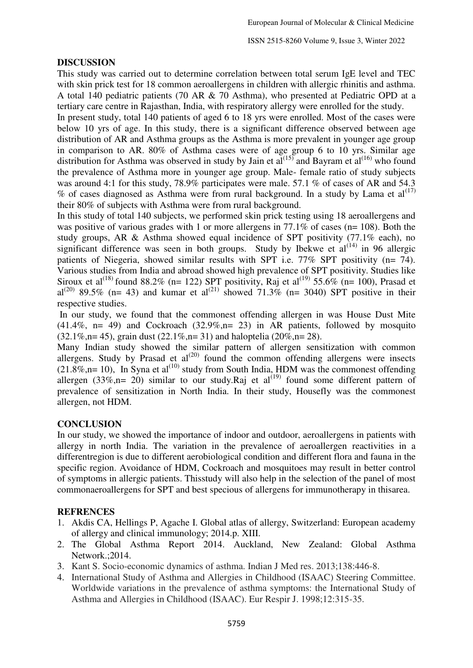### **DISCUSSION**

This study was carried out to determine correlation between total serum IgE level and TEC with skin prick test for 18 common aeroallergens in children with allergic rhinitis and asthma. A total 140 pediatric patients (70 AR & 70 Asthma), who presented at Pediatric OPD at a tertiary care centre in Rajasthan, India, with respiratory allergy were enrolled for the study.

In present study, total 140 patients of aged 6 to 18 yrs were enrolled. Most of the cases were below 10 yrs of age. In this study, there is a significant difference observed between age distribution of AR and Asthma groups as the Asthma is more prevalent in younger age group in comparison to AR. 80% of Asthma cases were of age group 6 to 10 yrs. Similar age distribution for Asthma was observed in study by Jain et al<sup>(15)</sup> and Bayram et al<sup>(16)</sup> who found the prevalence of Asthma more in younger age group. Male- female ratio of study subjects was around 4:1 for this study, 78.9% participates were male. 57.1 % of cases of AR and 54.3 % of cases diagnosed as Asthma were from rural background. In a study by Lama et  $al^{(17)}$ their 80% of subjects with Asthma were from rural background.

In this study of total 140 subjects, we performed skin prick testing using 18 aeroallergens and was positive of various grades with 1 or more allergens in 77.1% of cases (n= 108). Both the study groups, AR & Asthma showed equal incidence of SPT positivity (77.1% each), no significant difference was seen in both groups. Study by Ibekwe et  $al^{(14)}$  in 96 allergic patients of Niegeria, showed similar results with SPT i.e. 77% SPT positivity (n= 74). Various studies from India and abroad showed high prevalence of SPT positivity. Studies like Siroux et al<sup>(18)</sup> found 88.2% (n= 122) SPT positivity, Raj et al<sup>(19)</sup> 55.6% (n= 100), Prasad et al<sup>(20)</sup> 89.5% (n= 43) and kumar et al<sup>(21)</sup> showed 71.3% (n= 3040) SPT positive in their respective studies.

 In our study, we found that the commonest offending allergen in was House Dust Mite  $(41.4\%, n= 49)$  and Cockroach  $(32.9\%, n= 23)$  in AR patients, followed by mosquito  $(32.1\%,n= 45)$ , grain dust  $(22.1\%,n= 31)$  and haloptelia  $(20\%,n= 28)$ .

Many Indian study showed the similar pattern of allergen sensitization with common allergens. Study by Prasad et  $al^{(20)}$  found the common offending allergens were insects  $(21.8\%,n=10)$ , In Syna et al<sup>(10)</sup> study from South India, HDM was the commonest offending allergen (33%,n= 20) similar to our study.Raj et al<sup>(19)</sup> found some different pattern of prevalence of sensitization in North India. In their study, Housefly was the commonest allergen, not HDM.

### **CONCLUSION**

In our study, we showed the importance of indoor and outdoor, aeroallergens in patients with allergy in north India. The variation in the prevalence of aeroallergen reactivities in a differentregion is due to different aerobiological condition and different flora and fauna in the specific region. Avoidance of HDM, Cockroach and mosquitoes may result in better control of symptoms in allergic patients. Thisstudy will also help in the selection of the panel of most commonaeroallergens for SPT and best specious of allergens for immunotherapy in thisarea.

### **REFRENCES**

- 1. Akdis CA, Hellings P, Agache I. Global atlas of allergy, Switzerland: European academy of allergy and clinical immunology; 2014.p. XIII.
- 2. The Global Asthma Report 2014. Auckland, New Zealand: Global Asthma Network.;2014.
- 3. Kant S. Socio-economic dynamics of asthma. Indian J Med res. 2013;138:446-8.
- 4. International Study of Asthma and Allergies in Childhood (ISAAC) Steering Committee. Worldwide variations in the prevalence of asthma symptoms: the International Study of Asthma and Allergies in Childhood (ISAAC). Eur Respir J. 1998;12:315-35.